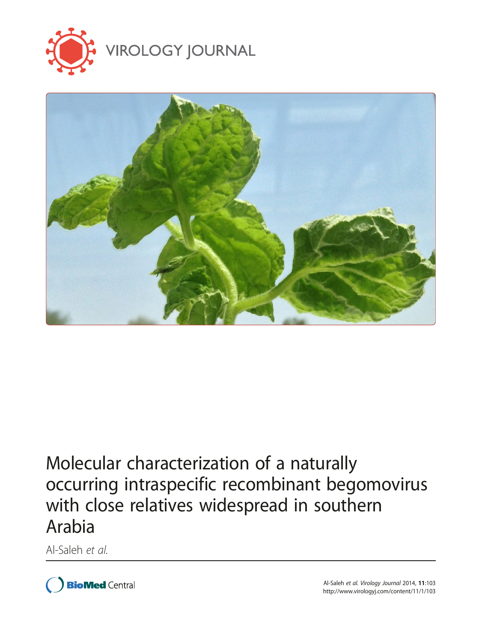



# Molecular characterization of a naturally occurring intraspecific recombinant begomovirus with close relatives widespread in southern Arabia

Al-Saleh et al.



Al-Saleh et al. Virology Journal 2014, <sup>11</sup>:103 http://www.virologyj.com/content/11/1/103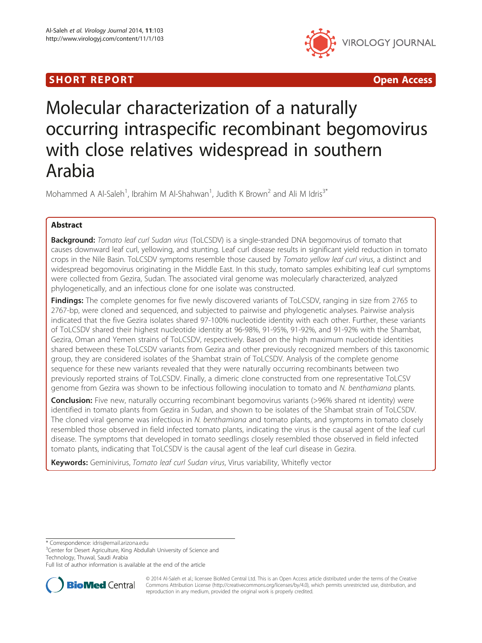# SHORT REPORT AND RESERVE THE SHORT CONTROL CONTROL CONTROL CONTROL CONTROL CONTROL CONTROL CONTROL CONTROL CONTROL CONTROL CONTROL CONTROL CONTROL CONTROL CONTROL CONTROL CONTROL CONTROL CONTROL CONTROL CONTROL CONTROL CON



# Molecular characterization of a naturally occurring intraspecific recombinant begomovirus with close relatives widespread in southern Arabia

Mohammed A Al-Saleh<sup>1</sup>, Ibrahim M Al-Shahwan<sup>1</sup>, Judith K Brown<sup>2</sup> and Ali M Idris<sup>3\*</sup>

# Abstract

**Background:** Tomato leaf curl Sudan virus (ToLCSDV) is a single-stranded DNA begomovirus of tomato that causes downward leaf curl, yellowing, and stunting. Leaf curl disease results in significant yield reduction in tomato crops in the Nile Basin. ToLCSDV symptoms resemble those caused by Tomato yellow leaf curl virus, a distinct and widespread begomovirus originating in the Middle East. In this study, tomato samples exhibiting leaf curl symptoms were collected from Gezira, Sudan. The associated viral genome was molecularly characterized, analyzed phylogenetically, and an infectious clone for one isolate was constructed.

Findings: The complete genomes for five newly discovered variants of ToLCSDV, ranging in size from 2765 to 2767-bp, were cloned and sequenced, and subjected to pairwise and phylogenetic analyses. Pairwise analysis indicated that the five Gezira isolates shared 97-100% nucleotide identity with each other. Further, these variants of ToLCSDV shared their highest nucleotide identity at 96-98%, 91-95%, 91-92%, and 91-92% with the Shambat, Gezira, Oman and Yemen strains of ToLCSDV, respectively. Based on the high maximum nucleotide identities shared between these ToLCSDV variants from Gezira and other previously recognized members of this taxonomic group, they are considered isolates of the Shambat strain of ToLCSDV. Analysis of the complete genome sequence for these new variants revealed that they were naturally occurring recombinants between two previously reported strains of ToLCSDV. Finally, a dimeric clone constructed from one representative ToLCSV genome from Gezira was shown to be infectious following inoculation to tomato and N. benthamiana plants.

Conclusion: Five new, naturally occurring recombinant begomovirus variants (>96% shared nt identity) were identified in tomato plants from Gezira in Sudan, and shown to be isolates of the Shambat strain of ToLCSDV. The cloned viral genome was infectious in N. benthamiana and tomato plants, and symptoms in tomato closely resembled those observed in field infected tomato plants, indicating the virus is the causal agent of the leaf curl disease. The symptoms that developed in tomato seedlings closely resembled those observed in field infected tomato plants, indicating that ToLCSDV is the causal agent of the leaf curl disease in Gezira.

Keywords: Geminivirus, Tomato leaf curl Sudan virus, Virus variability, Whitefly vector

\* Correspondence: [idris@email.arizona.edu](mailto:idris@email.arizona.edu) <sup>3</sup>

<sup>3</sup>Center for Desert Agriculture, King Abdullah University of Science and Technology, Thuwal, Saudi Arabia

Full list of author information is available at the end of the article



© 2014 Al-Saleh et al.; licensee BioMed Central Ltd. This is an Open Access article distributed under the terms of the Creative Commons Attribution License [\(http://creativecommons.org/licenses/by/4.0\)](http://creativecommons.org/licenses/by/2.0), which permits unrestricted use, distribution, and reproduction in any medium, provided the original work is properly credited.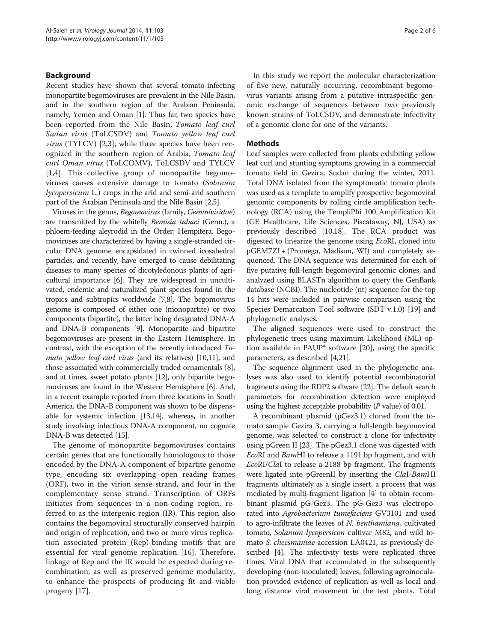## Background

Recent studies have shown that several tomato-infecting monopartite begomoviruses are prevalent in the Nile Basin, and in the southern region of the Arabian Peninsula, namely, Yemen and Oman [\[1\]](#page-6-0). Thus far, two species have been reported from the Nile Basin, Tomato leaf curl Sudan virus (ToLCSDV) and Tomato yellow leaf curl virus (TYLCV) [[2,3](#page-6-0)], while three species have been recognized in the southern region of Arabia, Tomato leaf curl Oman virus (ToLCOMV), ToLCSDV and TYLCV [[1,4](#page-6-0)]. This collective group of monopartite begomoviruses causes extensive damage to tomato (Solanum lycopersicum L.) crops in the arid and semi-arid southern part of the Arabian Peninsula and the Nile Basin [\[2,5](#page-6-0)].

Viruses in the genus, Begomovirus (family, Geminiviridae) are transmitted by the whitefly Bemisia tabaci (Genn.), a phloem-feeding aleyrodid in the Order: Hempitera. Begomoviruses are characterized by having a single-stranded circular DNA genome encapsidated in twinned icosahedral particles, and recently, have emerged to cause debilitating diseases to many species of dicotyledonous plants of agricultural importance [\[6](#page-6-0)]. They are widespread in uncultivated, endemic and naturalized plant species found in the tropics and subtropics worldwide [\[7,8\]](#page-6-0). The begomovirus genome is composed of either one (monopartite) or two components (bipartite), the latter being designated DNA-A and DNA-B components [[9](#page-6-0)]. Monopartite and bipartite begomoviruses are present in the Eastern Hemisphere. In contrast, with the exception of the recently introduced To-mato yellow leaf curl virus (and its relatives) [\[10,11\]](#page-6-0), and those associated with commercially traded ornamentals [[8](#page-6-0)], and at times, sweet potato plants [[12](#page-6-0)], only bipartite begomoviruses are found in the Western Hemisphere [\[6](#page-6-0)]. And, in a recent example reported from three locations in South America, the DNA-B component was shown to be dispensable for systemic infection [\[13,14](#page-6-0)], whereas, in another study involving infectious DNA-A component, no cognate DNA-B was detected [\[15\]](#page-6-0).

The genome of monopartite begomoviruses contains certain genes that are functionally homologous to those encoded by the DNA-A component of bipartite genome type, encoding six overlapping open reading frames (ORF), two in the virion sense strand, and four in the complementary sense strand. Transcription of ORFs initiates from sequences in a non-coding region, referred to as the intergenic region (IR). This region also contains the begomoviral structurally conserved hairpin and origin of replication, and two or more virus replication associated protein (Rep)-binding motifs that are essential for viral genome replication [[16\]](#page-6-0). Therefore, linkage of Rep and the IR would be expected during recombination, as well as preserved genome modularity, to enhance the prospects of producing fit and viable progeny [\[17](#page-6-0)].

In this study we report the molecular characterization of five new, naturally occurring, recombinant begomovirus variants arising from a putative intraspecific genomic exchange of sequences between two previously known strains of ToLCSDV, and demonstrate infectivity of a genomic clone for one of the variants.

### **Methods**

Leaf samples were collected from plants exhibiting yellow leaf curl and stunting symptoms growing in a commercial tomato field in Gezira, Sudan during the winter, 2011. Total DNA isolated from the symptomatic tomato plants was used as a template to amplify prospective begomoviral genomic components by rolling circle amplification technology (RCA) using the TempliPhi 100 Amplification Kit (GE Healthcare, Life Sciences, Piscataway, NJ, USA) as previously described [\[10,18](#page-6-0)]. The RCA product was digested to linearize the genome using EcoRI, cloned into pGEM7Zf + (Promega, Madison, WI) and completely sequenced. The DNA sequence was determined for each of five putative full-length begomoviral genomic clones, and analyzed using BLASTn algorithm to query the GenBank database (NCBI). The nucleotide (nt) sequence for the top 14 hits were included in pairwise comparison using the Species Demarcation Tool software (SDT v.1.0) [\[19\]](#page-6-0) and phylogenetic analyses.

The aligned sequences were used to construct the phylogenetic trees using maximum Likelihood (ML) option available in PAUP\* software [\[20](#page-6-0)], using the specific parameters, as described [\[4,21](#page-6-0)].

The sequence alignment used in the phylogenetic analyses was also used to identify potential recombinatorial fragments using the RDP2 software [\[22](#page-6-0)]. The default search parameters for recombination detection were employed using the highest acceptable probability  $(P \text{ value})$  of 0.01.

A recombinant plasmid (pGez3.1) cloned from the tomato sample Gezira 3, carrying a full-length begomoviral genome, was selected to construct a clone for infectivity using pGreen II [\[23\]](#page-6-0). The pGez3.1 clone was digested with EcoRI and BamHI to release a 1191 bp fragment, and with EcoRI/ClaI to release a 2188 bp fragment. The fragments were ligated into pGreenII by inserting the ClaI-BamHI fragments ultimately as a single insert, a process that was mediated by multi-fragment ligation [\[4](#page-6-0)] to obtain recombinant plasmid pG-Gez3. The pG-Gez3 was electroporated into Agrobacterium tumefaciens GV3101 and used to agro-infiltrate the leaves of N. benthamiana, cultivated tomato, Solanum lycopersicon cultivar M82, and wild tomato S. cheesmaniae accession LA0421, as previously described [\[4](#page-6-0)]. The infectivity tests were replicated three times. Viral DNA that accumulated in the subsequently developing (non-inoculated) leaves, following agroinoculation provided evidence of replication as well as local and long distance viral movement in the test plants. Total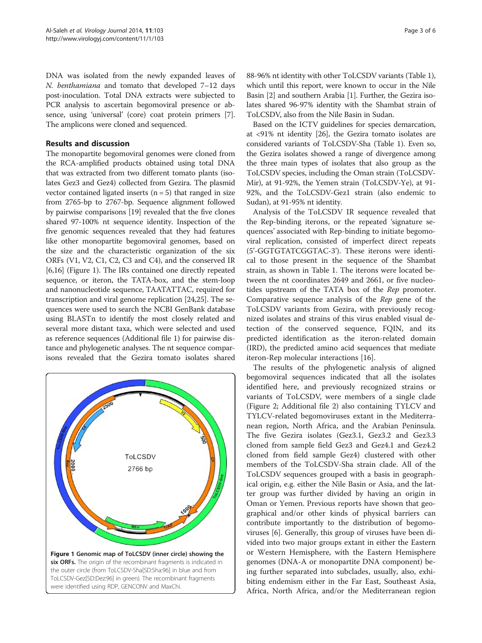<span id="page-3-0"></span>DNA was isolated from the newly expanded leaves of N. benthamiana and tomato that developed 7–12 days post-inoculation. Total DNA extracts were subjected to PCR analysis to ascertain begomoviral presence or absence, using 'universal' (core) coat protein primers [[7](#page-6-0)]. The amplicons were cloned and sequenced.

# Results and discussion

The monopartite begomoviral genomes were cloned from the RCA-amplified products obtained using total DNA that was extracted from two different tomato plants (isolates Gez3 and Gez4) collected from Gezira. The plasmid vector contained ligated inserts  $(n = 5)$  that ranged in size from 2765-bp to 2767-bp. Sequence alignment followed by pairwise comparisons [[19](#page-6-0)] revealed that the five clones shared 97-100% nt sequence identity. Inspection of the five genomic sequences revealed that they had features like other monopartite begomoviral genomes, based on the size and the characteristic organization of the six ORFs (V1, V2, C1, C2, C3 and C4), and the conserved IR [[6,16](#page-6-0)] (Figure 1). The IRs contained one directly repeated sequence, or iteron, the TATA-box, and the stem-loop and nanonucleotide sequence, TAATATTAC, required for transcription and viral genome replication [\[24,25](#page-6-0)]. The sequences were used to search the NCBI GenBank database using BLASTn to identify the most closely related and several more distant taxa, which were selected and used as reference sequences (Additional file [1](#page-5-0)) for pairwise distance and phylogenetic analyses. The nt sequence comparisons revealed that the Gezira tomato isolates shared



88-96% nt identity with other ToLCSDV variants (Table [1](#page-4-0)), which until this report, were known to occur in the Nile Basin [[2](#page-6-0)] and southern Arabia [\[1\]](#page-6-0). Further, the Gezira isolates shared 96-97% identity with the Shambat strain of ToLCSDV, also from the Nile Basin in Sudan.

Based on the ICTV guidelines for species demarcation, at <91% nt identity [\[26\]](#page-6-0), the Gezira tomato isolates are considered variants of ToLCSDV-Sha (Table [1\)](#page-4-0). Even so, the Gezira isolates showed a range of divergence among the three main types of isolates that also group as the ToLCSDV species, including the Oman strain (ToLCSDV-Mir), at 91-92%, the Yemen strain (ToLCSDV-Ye), at 91- 92%, and the ToLCSDV-Gez1 strain (also endemic to Sudan), at 91-95% nt identity.

Analysis of the ToLCSDV IR sequence revealed that the Rep-binding iterons, or the repeated 'signature sequences' associated with Rep-binding to initiate begomoviral replication, consisted of imperfect direct repeats (5'-GGTGTATCGGTAC-3'). These iterons were identical to those present in the sequence of the Shambat strain, as shown in Table [1](#page-4-0). The iterons were located between the nt coordinates 2649 and 2661, or five nucleotides upstream of the TATA box of the Rep promoter. Comparative sequence analysis of the Rep gene of the ToLCSDV variants from Gezira, with previously recognized isolates and strains of this virus enabled visual detection of the conserved sequence, FQIN, and its predicted identification as the iteron-related domain (IRD), the predicted amino acid sequences that mediate iteron-Rep molecular interactions [\[16\]](#page-6-0).

The results of the phylogenetic analysis of aligned begomoviral sequences indicated that all the isolates identified here, and previously recognized strains or variants of ToLCSDV, were members of a single clade (Figure [2](#page-4-0); Additional file [2\)](#page-5-0) also containing TYLCV and TYLCV-related begomoviruses extant in the Mediterranean region, North Africa, and the Arabian Peninsula. The five Gezira isolates (Gez3.1, Gez3.2 and Gez3.3 cloned from sample field Gez3 and Gez4.1 and Gez4.2 cloned from field sample Gez4) clustered with other members of the ToLCSDV-Sha strain clade. All of the ToLCSDV sequences grouped with a basis in geographical origin, e.g. either the Nile Basin or Asia, and the latter group was further divided by having an origin in Oman or Yemen. Previous reports have shown that geographical and/or other kinds of physical barriers can contribute importantly to the distribution of begomoviruses [[6\]](#page-6-0). Generally, this group of viruses have been divided into two major groups extant in either the Eastern or Western Hemisphere, with the Eastern Hemisphere genomes (DNA-A or monopartite DNA component) being further separated into subclades, usually, also, exhibiting endemism either in the Far East, Southeast Asia, Africa, North Africa, and/or the Mediterranean region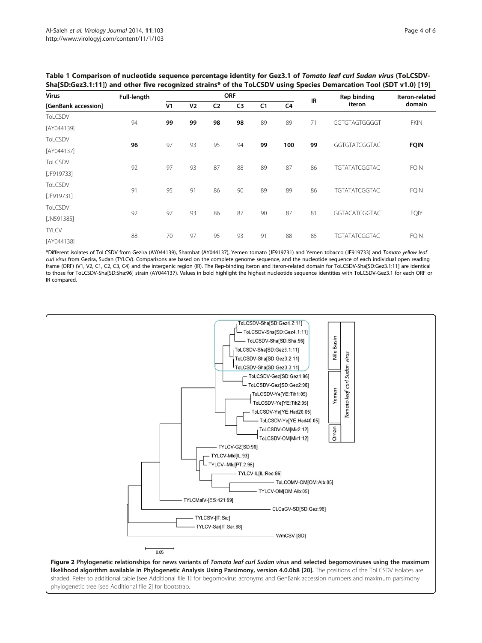| <b>Virus</b><br>[GenBank accession] | <b>Full-length</b> | <b>ORF</b>     |                |                |                |                |     | IR | Rep binding          | Iteron-related |
|-------------------------------------|--------------------|----------------|----------------|----------------|----------------|----------------|-----|----|----------------------|----------------|
|                                     |                    | V <sub>1</sub> | V <sub>2</sub> | C <sub>2</sub> | C <sub>3</sub> | C <sub>1</sub> | C4  |    | iteron               | domain         |
| ToLCSDV                             | 94                 | 99             | 99             | 98             | 98             | 89             | 89  | 71 | GGTGTAGTGGGGT        | <b>FKIN</b>    |
| [AY044139]                          |                    |                |                |                |                |                |     |    |                      |                |
| ToLCSDV                             | 96                 | 97             | 93             | 95             | 94             | 99             | 100 | 99 | GGTGTATCGGTAC        | <b>FQIN</b>    |
| [AY044137]                          |                    |                |                |                |                |                |     |    |                      |                |
| ToLCSDV                             | 92                 | 97             | 93             | 87             | 88             | 89             | 87  | 86 | <b>TGTATATCGGTAC</b> | <b>FQIN</b>    |
| [JF919733]                          |                    |                |                |                |                |                |     |    |                      |                |
| ToLCSDV                             | 91                 | 95             | 91             | 86             | 90             | 89             | 89  | 86 | <b>TGTATATCGGTAC</b> | <b>FQIN</b>    |
| [JF919731]                          |                    |                |                |                |                |                |     |    |                      |                |
| ToLCSDV                             | 92                 | 97             | 93             | 86             | 87             | 90             | 87  | 81 | <b>GGTACATCGGTAC</b> | <b>FQIY</b>    |
| [JN591385]                          |                    |                |                |                |                |                |     |    |                      |                |
| <b>TYLCV</b>                        | 88                 | 70             | 97             | 95             | 93             | 91             | 88  | 85 | <b>TGTATATCGGTAC</b> | <b>FQIN</b>    |
| [AY044138]                          |                    |                |                |                |                |                |     |    |                      |                |

<span id="page-4-0"></span>Table 1 Comparison of nucleotide sequence percentage identity for Gez3.1 of Tomato leaf curl Sudan virus (ToLCSDV-Sha[SD:Gez3.1:11]) and other five recognized strains\* of the ToLCSDV using Species Demarcation Tool (SDT v1.0) [[19\]](#page-6-0)

\*Different isolates of ToLCSDV from Gezira (AY044139), Shambat (AY044137), Yemen tomato (JF919731) and Yemen tobacco (JF919733) and Tomato yellow leaf curl virus from Gezira, Sudan (TYLCV). Comparisons are based on the complete genome sequence, and the nucleotide sequence of each individual open reading frame (ORF) (V1, V2, C1, C2, C3, C4) and the intergenic region (IR). The Rep-binding iteron and iteron-related domain for ToLCSDV-Sha[SD:Gez3.1:11] are identical to those for ToLCSDV-Sha[SD:Sha:96] strain (AY044137). Values in bold highlight the highest nucleotide sequence identities with ToLCSDV-Gez3.1 for each ORF or IR compared.



likelihood algorithm available in Phylogenetic Analysis Using Parsimony, version 4.0.0b8 [\[20\]](#page-6-0). The positions of the ToLCSDV isolates are shaded. Refer to additional table [see Additional file [1\]](#page-5-0) for begomovirus acronyms and GenBank accession numbers and maximum parsimony phylogenetic tree [see Additional file [2](#page-5-0)] for bootstrap.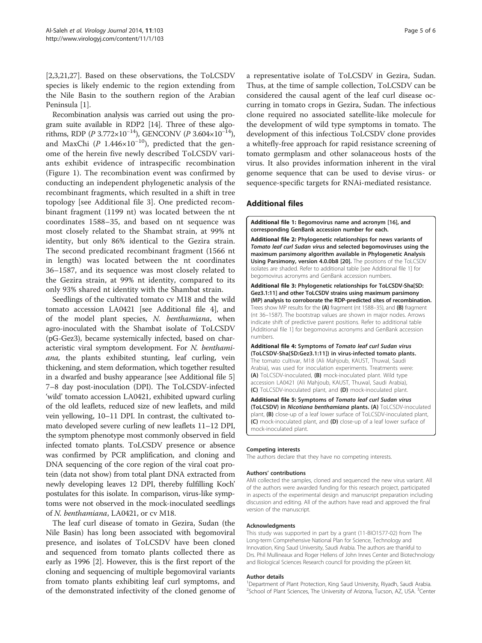<span id="page-5-0"></span>[[2,3,21,27\]](#page-6-0). Based on these observations, the ToLCSDV species is likely endemic to the region extending from the Nile Basin to the southern region of the Arabian Peninsula [\[1](#page-6-0)].

Recombination analysis was carried out using the program suite available in RDP2 [\[14\]](#page-6-0). Three of these algorithms, RDP ( $P$  3.772×10<sup>-14</sup>), GENCONV ( $P$  3.604×10<sup>-14</sup>), and MaxChi ( $P$  1.446×10<sup>-10</sup>), predicted that the genome of the herein five newly described ToLCSDV variants exhibit evidence of intraspecific recombination (Figure [1](#page-3-0)). The recombination event was confirmed by conducting an independent phylogenetic analysis of the recombinant fragments, which resulted in a shift in tree topology [see Additional file 3]. One predicted recombinant fragment (1199 nt) was located between the nt coordinates 1588–35, and based on nt sequence was most closely related to the Shambat strain, at 99% nt identity, but only 86% identical to the Gezira strain. The second predicated recombinant fragment (1566 nt in length) was located between the nt coordinates 36–1587, and its sequence was most closely related to the Gezira strain, at 99% nt identity, compared to its only 93% shared nt identity with the Shambat strain.

Seedlings of the cultivated tomato cv M18 and the wild tomato accession LA0421 [see Additional file 4], and of the model plant species, N. benthamiana, when agro-inoculated with the Shambat isolate of ToLCSDV (pG-Gez3), became systemically infected, based on characteristic viral symptom development. For N. benthamiana, the plants exhibited stunting, leaf curling, vein thickening, and stem deformation, which together resulted in a dwarfed and bushy appearance [see Additional file 5] 7–8 day post-inoculation (DPI). The ToLCSDV-infected 'wild' tomato accession LA0421, exhibited upward curling of the old leaflets, reduced size of new leaflets, and mild vein yellowing, 10–11 DPI. In contrast, the cultivated tomato developed severe curling of new leaflets 11–12 DPI, the symptom phenotype most commonly observed in field infected tomato plants. ToLCSDV presence or absence was confirmed by PCR amplification, and cloning and DNA sequencing of the core region of the viral coat protein (data not show) from total plant DNA extracted from newly developing leaves 12 DPI, thereby fulfilling Koch' postulates for this isolate. In comparison, virus-like symptoms were not observed in the mock-inoculated seedlings of N. benthamiana, LA0421, or cv M18.

The leaf curl disease of tomato in Gezira, Sudan (the Nile Basin) has long been associated with begomoviral presence, and isolates of ToLCSDV have been cloned and sequenced from tomato plants collected there as early as 1996 [[2\]](#page-6-0). However, this is the first report of the cloning and sequencing of multiple begomoviral variants from tomato plants exhibiting leaf curl symptoms, and of the demonstrated infectivity of the cloned genome of a representative isolate of ToLCSDV in Gezira, Sudan. Thus, at the time of sample collection, ToLCSDV can be considered the causal agent of the leaf curl disease occurring in tomato crops in Gezira, Sudan. The infectious clone required no associated satellite-like molecule for the development of wild type symptoms in tomato. The development of this infectious ToLCSDV clone provides a whitefly-free approach for rapid resistance screening of tomato germplasm and other solanaceous hosts of the virus. It also provides information inherent in the viral genome sequence that can be used to devise virus- or sequence-specific targets for RNAi-mediated resistance.

# Additional files

[Additional file 1:](http://www.biomedcentral.com/content/supplementary/1743-422X-11-103-S1.docx) Begomovirus name and acronym [\[16](#page-6-0)], and corresponding GenBank accession number for each.

[Additional file 2:](http://www.biomedcentral.com/content/supplementary/1743-422X-11-103-S2.pptx) Phylogenetic relationships for news variants of Tomato leaf curl Sudan virus and selected begomoviruses using the maximum parsimony algorithm available in Phylogenetic Analysis Using Parsimony, version 4.0.0b8 [[20\]](#page-6-0). The positions of the ToLCSDV isolates are shaded. Refer to additional table [see Additional file 1] for begomovirus acronyms and GenBank accession numbers.

[Additional file 3:](http://www.biomedcentral.com/content/supplementary/1743-422X-11-103-S3.pptx) Phylogenetic relationships for ToLCSDV-Sha[SD: Gez3.1:11] and other ToLCSDV strains using maximum parsimony (MP) analysis to corroborate the RDP-predicted sites of recombination. Trees show MP results for the (A) fragment (nt 1588–35), and (B) fragment (nt 36–1587). The bootstrap values are shown in major nodes. Arrows indicate shift of predictive parent positions. Refer to additional table [Additional file 1] for begomovirus acronyms and GenBank accession numbers.

[Additional file 4:](http://www.biomedcentral.com/content/supplementary/1743-422X-11-103-S4.pptx) Symptoms of Tomato leaf curl Sudan virus (ToLCSDV-Sha[SD:Gez3.1:11]) in virus-infected tomato plants. The tomato cultivar, M18 (Ali Mahjoub, KAUST, Thuwal, Saudi Arabia), was used for inoculation experiments. Treatments were: (A) ToLCSDV-inoculated, (B) mock-inoculated plant. Wild type accession LA0421 (Ali Mahjoub, KAUST, Thuwal, Saudi Arabia), (C) ToLCSDV-inoculated plant, and (D) mock-inoculated plant.

[Additional file 5:](http://www.biomedcentral.com/content/supplementary/1743-422X-11-103-S5.pptx) Symptoms of Tomato leaf curl Sudan virus (ToLCSDV) in Nicotiana benthamiana plants. (A) ToLCSDV-inoculated plant, (B) close-up of a leaf lower surface of ToLCSDV-inoculated plant, (C) mock-inoculated plant, and (D) close-up of a leaf lower surface of mock-inoculated plant.

#### Competing interests

The authors declare that they have no competing interests.

#### Authors' contributions

AMI collected the samples, cloned and sequenced the new virus variant. All of the authors were awarded funding for this research project, participated in aspects of the experimental design and manuscript preparation including discussion and editing. All of the authors have read and approved the final version of the manuscript.

#### Acknowledgments

This study was supported in part by a grant (11-BIO1577-02) from The Long-term Comprehensive National Plan for Science, Technology and Innovation, King Saud University, Saudi Arabia. The authors are thankful to Drs. Phil Mullineaux and Roger Hellens of John Innes Center and Biotechnology and Biological Sciences Research council for providing the pGreen kit.

#### Author details

<sup>1</sup>Department of Plant Protection, King Saud University, Riyadh, Saudi Arabia <sup>2</sup>School of Plant Sciences, The University of Arizona, Tucson, AZ, USA. <sup>3</sup>Center